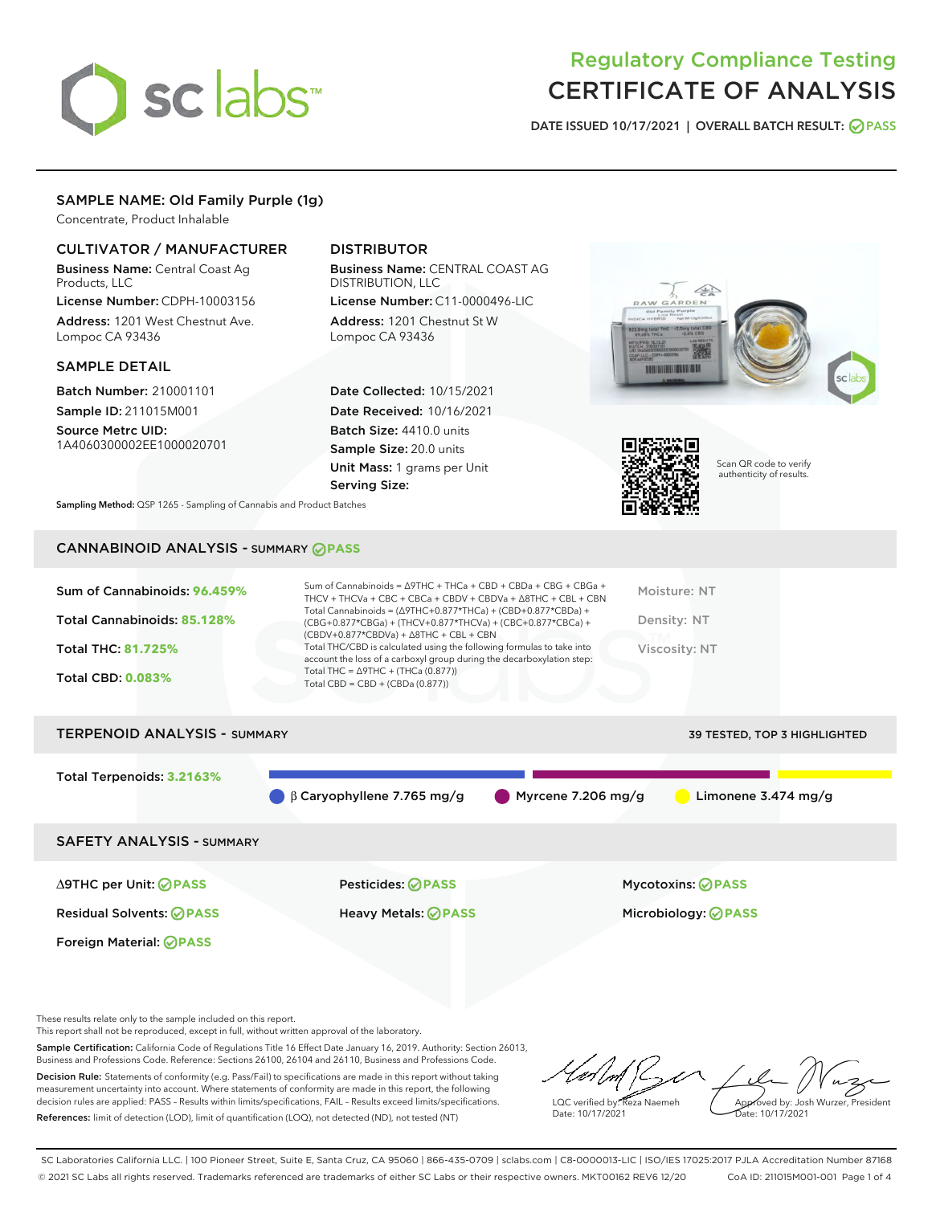# sclabs<sup>\*</sup>

## Regulatory Compliance Testing CERTIFICATE OF ANALYSIS

DATE ISSUED 10/17/2021 | OVERALL BATCH RESULT: @ PASS

#### SAMPLE NAME: Old Family Purple (1g)

Concentrate, Product Inhalable

#### CULTIVATOR / MANUFACTURER

Business Name: Central Coast Ag Products, LLC

License Number: CDPH-10003156 Address: 1201 West Chestnut Ave. Lompoc CA 93436

#### SAMPLE DETAIL

Batch Number: 210001101 Sample ID: 211015M001

Source Metrc UID: 1A4060300002EE1000020701

#### DISTRIBUTOR

Business Name: CENTRAL COAST AG DISTRIBUTION, LLC License Number: C11-0000496-LIC

Address: 1201 Chestnut St W Lompoc CA 93436

Date Collected: 10/15/2021 Date Received: 10/16/2021 Batch Size: 4410.0 units Sample Size: 20.0 units Unit Mass: 1 grams per Unit Serving Size:





Scan QR code to verify authenticity of results.

Sampling Method: QSP 1265 - Sampling of Cannabis and Product Batches

### CANNABINOID ANALYSIS - SUMMARY **PASS**

| Sum of Cannabinoids: 96.459%<br>Total Cannabinoids: 85.128%<br><b>Total THC: 81.725%</b><br><b>Total CBD: 0.083%</b> | Sum of Cannabinoids = ∆9THC + THCa + CBD + CBDa + CBG + CBGa +<br>THCV + THCVa + CBC + CBCa + CBDV + CBDVa + $\Delta$ 8THC + CBL + CBN<br>Total Cannabinoids = $(\Delta$ 9THC+0.877*THCa) + (CBD+0.877*CBDa) +<br>(CBG+0.877*CBGa) + (THCV+0.877*THCVa) + (CBC+0.877*CBCa) +<br>$(CBDV+0.877*CBDVa) + \Delta 8THC + CBL + CBN$<br>Total THC/CBD is calculated using the following formulas to take into<br>account the loss of a carboxyl group during the decarboxylation step:<br>Total THC = $\triangle$ 9THC + (THCa (0.877))<br>Total CBD = $CBD + (CBDa (0.877))$ | Moisture: NT<br>Density: NT<br>Viscosity: NT |
|----------------------------------------------------------------------------------------------------------------------|-------------------------------------------------------------------------------------------------------------------------------------------------------------------------------------------------------------------------------------------------------------------------------------------------------------------------------------------------------------------------------------------------------------------------------------------------------------------------------------------------------------------------------------------------------------------------|----------------------------------------------|
|                                                                                                                      |                                                                                                                                                                                                                                                                                                                                                                                                                                                                                                                                                                         |                                              |
| <b>TERPENOID ANALYSIS - SUMMARY</b>                                                                                  |                                                                                                                                                                                                                                                                                                                                                                                                                                                                                                                                                                         | <b>39 TESTED, TOP 3 HIGHLIGHTED</b>          |

Total Terpenoids: **3.2163%** β Caryophyllene 7.765 mg/g Myrcene 7.206 mg/g Limonene 3.474 mg/g SAFETY ANALYSIS - SUMMARY

∆9THC per Unit: **PASS** Pesticides: **PASS** Mycotoxins: **PASS**

Foreign Material: **PASS**

Residual Solvents: **PASS** Heavy Metals: **PASS** Microbiology: **PASS**

These results relate only to the sample included on this report.

This report shall not be reproduced, except in full, without written approval of the laboratory.

Sample Certification: California Code of Regulations Title 16 Effect Date January 16, 2019. Authority: Section 26013, Business and Professions Code. Reference: Sections 26100, 26104 and 26110, Business and Professions Code. Decision Rule: Statements of conformity (e.g. Pass/Fail) to specifications are made in this report without taking measurement uncertainty into account. Where statements of conformity are made in this report, the following

decision rules are applied: PASS – Results within limits/specifications, FAIL – Results exceed limits/specifications. References: limit of detection (LOD), limit of quantification (LOQ), not detected (ND), not tested (NT)

LQC verified by: Reza Naemeh Date: 10/17/2021 Approved by: Josh Wurzer, President Date: 10/17/2021

SC Laboratories California LLC. | 100 Pioneer Street, Suite E, Santa Cruz, CA 95060 | 866-435-0709 | sclabs.com | C8-0000013-LIC | ISO/IES 17025:2017 PJLA Accreditation Number 87168 © 2021 SC Labs all rights reserved. Trademarks referenced are trademarks of either SC Labs or their respective owners. MKT00162 REV6 12/20 CoA ID: 211015M001-001 Page 1 of 4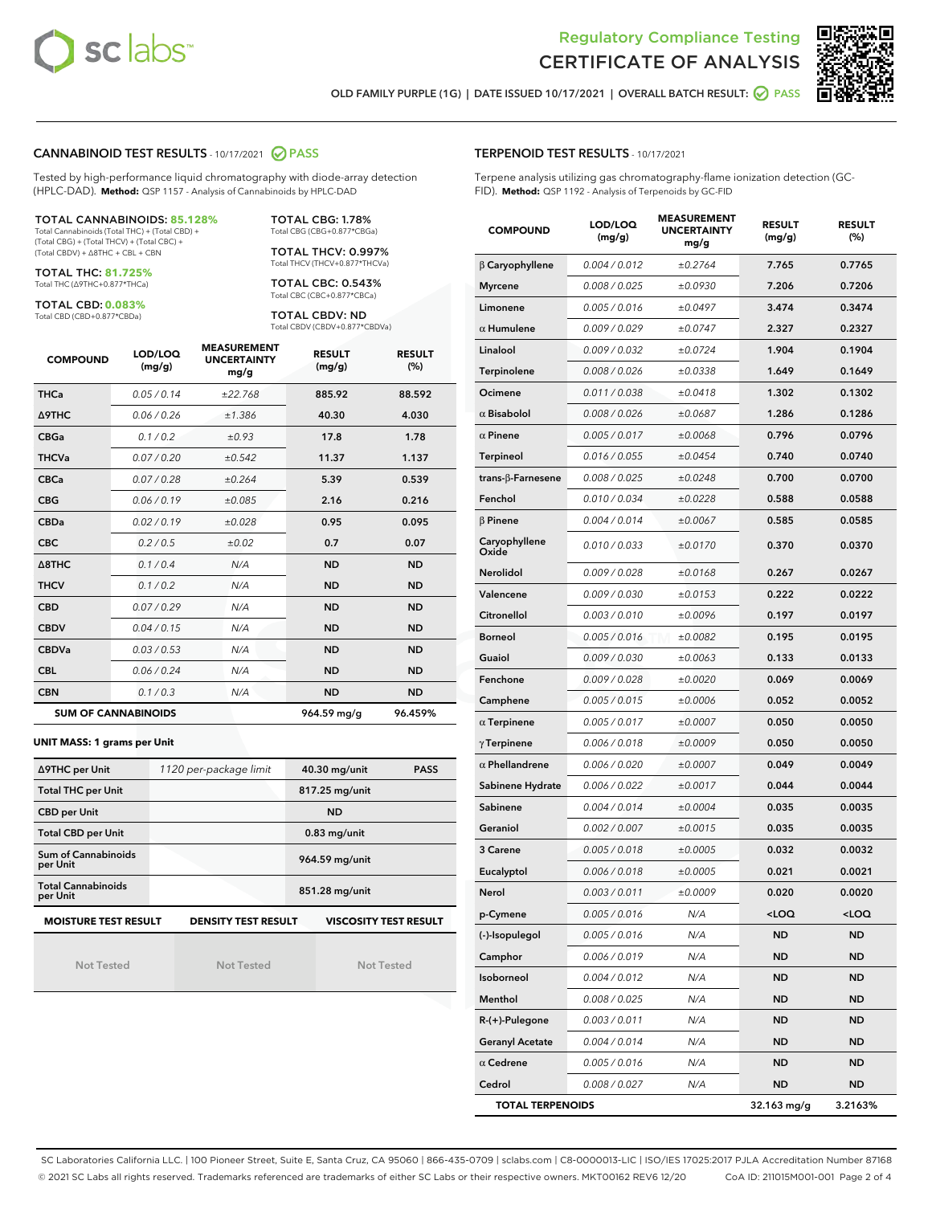



OLD FAMILY PURPLE (1G) | DATE ISSUED 10/17/2021 | OVERALL BATCH RESULT: @ PASS

#### CANNABINOID TEST RESULTS - 10/17/2021 2 PASS

Tested by high-performance liquid chromatography with diode-array detection (HPLC-DAD). **Method:** QSP 1157 - Analysis of Cannabinoids by HPLC-DAD

#### TOTAL CANNABINOIDS: **85.128%**

Total Cannabinoids (Total THC) + (Total CBD) + (Total CBG) + (Total THCV) + (Total CBC) + (Total CBDV) + ∆8THC + CBL + CBN

TOTAL THC: **81.725%** Total THC (∆9THC+0.877\*THCa)

TOTAL CBD: **0.083%**

Total CBD (CBD+0.877\*CBDa)

TOTAL CBG: 1.78% Total CBG (CBG+0.877\*CBGa)

TOTAL THCV: 0.997% Total THCV (THCV+0.877\*THCVa)

TOTAL CBC: 0.543% Total CBC (CBC+0.877\*CBCa)

TOTAL CBDV: ND Total CBDV (CBDV+0.877\*CBDVa)

| <b>COMPOUND</b>            | LOD/LOQ<br>(mg/g) | <b>MEASUREMENT</b><br><b>UNCERTAINTY</b><br>mg/g | <b>RESULT</b><br>(mg/g) | <b>RESULT</b><br>(%) |
|----------------------------|-------------------|--------------------------------------------------|-------------------------|----------------------|
| <b>THCa</b>                | 0.05/0.14         | ±22.768                                          | 885.92                  | 88.592               |
| <b>A9THC</b>               | 0.06 / 0.26       | ±1.386                                           | 40.30                   | 4.030                |
| <b>CBGa</b>                | 0.1/0.2           | $\pm 0.93$                                       | 17.8                    | 1.78                 |
| <b>THCVa</b>               | 0.07/0.20         | ±0.542                                           | 11.37                   | 1.137                |
| <b>CBCa</b>                | 0.07/0.28         | ±0.264                                           | 5.39                    | 0.539                |
| <b>CBG</b>                 | 0.06/0.19         | ±0.085                                           | 2.16                    | 0.216                |
| <b>CBDa</b>                | 0.02/0.19         | ±0.028                                           | 0.95                    | 0.095                |
| <b>CBC</b>                 | 0.2 / 0.5         | ±0.02                                            | 0.7                     | 0.07                 |
| $\triangle$ 8THC           | 0.1/0.4           | N/A                                              | <b>ND</b>               | <b>ND</b>            |
| <b>THCV</b>                | 0.1/0.2           | N/A                                              | <b>ND</b>               | <b>ND</b>            |
| <b>CBD</b>                 | 0.07/0.29         | N/A                                              | <b>ND</b>               | <b>ND</b>            |
| <b>CBDV</b>                | 0.04 / 0.15       | N/A                                              | <b>ND</b>               | <b>ND</b>            |
| <b>CBDVa</b>               | 0.03/0.53         | N/A                                              | <b>ND</b>               | <b>ND</b>            |
| <b>CBL</b>                 | 0.06 / 0.24       | N/A                                              | <b>ND</b>               | <b>ND</b>            |
| <b>CBN</b>                 | 0.1/0.3           | N/A                                              | <b>ND</b>               | <b>ND</b>            |
| <b>SUM OF CANNABINOIDS</b> |                   |                                                  | 964.59 mg/g             | 96.459%              |

#### **UNIT MASS: 1 grams per Unit**

| ∆9THC per Unit                        | 1120 per-package limit     | 40.30 mg/unit<br><b>PASS</b> |
|---------------------------------------|----------------------------|------------------------------|
| <b>Total THC per Unit</b>             |                            | 817.25 mg/unit               |
| <b>CBD per Unit</b>                   |                            | <b>ND</b>                    |
| <b>Total CBD per Unit</b>             |                            | $0.83$ mg/unit               |
| Sum of Cannabinoids<br>per Unit       |                            | 964.59 mg/unit               |
| <b>Total Cannabinoids</b><br>per Unit |                            | 851.28 mg/unit               |
| <b>MOISTURE TEST RESULT</b>           | <b>DENSITY TEST RESULT</b> | <b>VISCOSITY TEST RESULT</b> |

Not Tested

Not Tested

Not Tested

#### TERPENOID TEST RESULTS - 10/17/2021

Terpene analysis utilizing gas chromatography-flame ionization detection (GC-FID). **Method:** QSP 1192 - Analysis of Terpenoids by GC-FID

| <b>COMPOUND</b>         | LOD/LOQ<br>(mg/g) | <b>MEASUREMENT</b><br><b>UNCERTAINTY</b><br>mg/g | <b>RESULT</b><br>(mg/g)                         | <b>RESULT</b><br>(%) |
|-------------------------|-------------------|--------------------------------------------------|-------------------------------------------------|----------------------|
| $\beta$ Caryophyllene   | 0.004 / 0.012     | ±0.2764                                          | 7.765                                           | 0.7765               |
| <b>Myrcene</b>          | 0.008 / 0.025     | ±0.0930                                          | 7.206                                           | 0.7206               |
| Limonene                | 0.005 / 0.016     | ±0.0497                                          | 3.474                                           | 0.3474               |
| $\alpha$ Humulene       | 0.009 / 0.029     | ±0.0747                                          | 2.327                                           | 0.2327               |
| Linalool                | 0.009 / 0.032     | ±0.0724                                          | 1.904                                           | 0.1904               |
| Terpinolene             | 0.008 / 0.026     | ±0.0338                                          | 1.649                                           | 0.1649               |
| Ocimene                 | 0.011 / 0.038     | ±0.0418                                          | 1.302                                           | 0.1302               |
| $\alpha$ Bisabolol      | 0.008 / 0.026     | ±0.0687                                          | 1.286                                           | 0.1286               |
| $\alpha$ Pinene         | 0.005 / 0.017     | ±0.0068                                          | 0.796                                           | 0.0796               |
| Terpineol               | 0.016 / 0.055     | ±0.0454                                          | 0.740                                           | 0.0740               |
| trans-β-Farnesene       | 0.008 / 0.025     | ±0.0248                                          | 0.700                                           | 0.0700               |
| Fenchol                 | 0.010 / 0.034     | ±0.0228                                          | 0.588                                           | 0.0588               |
| $\beta$ Pinene          | 0.004 / 0.014     | ±0.0067                                          | 0.585                                           | 0.0585               |
| Caryophyllene<br>Oxide  | 0.010 / 0.033     | ±0.0170                                          | 0.370                                           | 0.0370               |
| Nerolidol               | 0.009 / 0.028     | ±0.0168                                          | 0.267                                           | 0.0267               |
| Valencene               | 0.009 / 0.030     | ±0.0153                                          | 0.222                                           | 0.0222               |
| Citronellol             | 0.003 / 0.010     | ±0.0096                                          | 0.197                                           | 0.0197               |
| <b>Borneol</b>          | 0.005 / 0.016     | ±0.0082                                          | 0.195                                           | 0.0195               |
| Guaiol                  | 0.009 / 0.030     | ±0.0063                                          | 0.133                                           | 0.0133               |
| Fenchone                | 0.009 / 0.028     | ±0.0020                                          | 0.069                                           | 0.0069               |
| Camphene                | 0.005 / 0.015     | ±0.0006                                          | 0.052                                           | 0.0052               |
| $\alpha$ Terpinene      | 0.005 / 0.017     | ±0.0007                                          | 0.050                                           | 0.0050               |
| $\gamma$ Terpinene      | 0.006 / 0.018     | ±0.0009                                          | 0.050                                           | 0.0050               |
| $\alpha$ Phellandrene   | 0.006 / 0.020     | ±0.0007                                          | 0.049                                           | 0.0049               |
| Sabinene Hydrate        | 0.006 / 0.022     | ±0.0017                                          | 0.044                                           | 0.0044               |
| Sabinene                | 0.004 / 0.014     | ±0.0004                                          | 0.035                                           | 0.0035               |
| Geraniol                | 0.002 / 0.007     | ±0.0015                                          | 0.035                                           | 0.0035               |
| 3 Carene                | 0.005 / 0.018     | ±0.0005                                          | 0.032                                           | 0.0032               |
| Eucalyptol              | 0.006 / 0.018     | ±0.0005                                          | 0.021                                           | 0.0021               |
| Nerol                   | 0.003 / 0.011     | ±0.0009                                          | 0.020                                           | 0.0020               |
| p-Cymene                | 0.005 / 0.016     | N/A                                              | <loq< th=""><th><loq< th=""></loq<></th></loq<> | <loq< th=""></loq<>  |
| (-)-Isopulegol          | 0.005 / 0.016     | N/A                                              | ND                                              | ND                   |
| Camphor                 | 0.006 / 0.019     | N/A                                              | ND                                              | <b>ND</b>            |
| Isoborneol              | 0.004 / 0.012     | N/A                                              | ND                                              | <b>ND</b>            |
| Menthol                 | 0.008 / 0.025     | N/A                                              | ND                                              | <b>ND</b>            |
| R-(+)-Pulegone          | 0.003 / 0.011     | N/A                                              | <b>ND</b>                                       | ND                   |
| <b>Geranyl Acetate</b>  | 0.004 / 0.014     | N/A                                              | ND                                              | <b>ND</b>            |
| $\alpha$ Cedrene        | 0.005 / 0.016     | N/A                                              | ND                                              | ND                   |
| Cedrol                  | 0.008 / 0.027     | N/A                                              | ND                                              | ND                   |
| <b>TOTAL TERPENOIDS</b> |                   |                                                  | 32.163 mg/g                                     | 3.2163%              |

SC Laboratories California LLC. | 100 Pioneer Street, Suite E, Santa Cruz, CA 95060 | 866-435-0709 | sclabs.com | C8-0000013-LIC | ISO/IES 17025:2017 PJLA Accreditation Number 87168 © 2021 SC Labs all rights reserved. Trademarks referenced are trademarks of either SC Labs or their respective owners. MKT00162 REV6 12/20 CoA ID: 211015M001-001 Page 2 of 4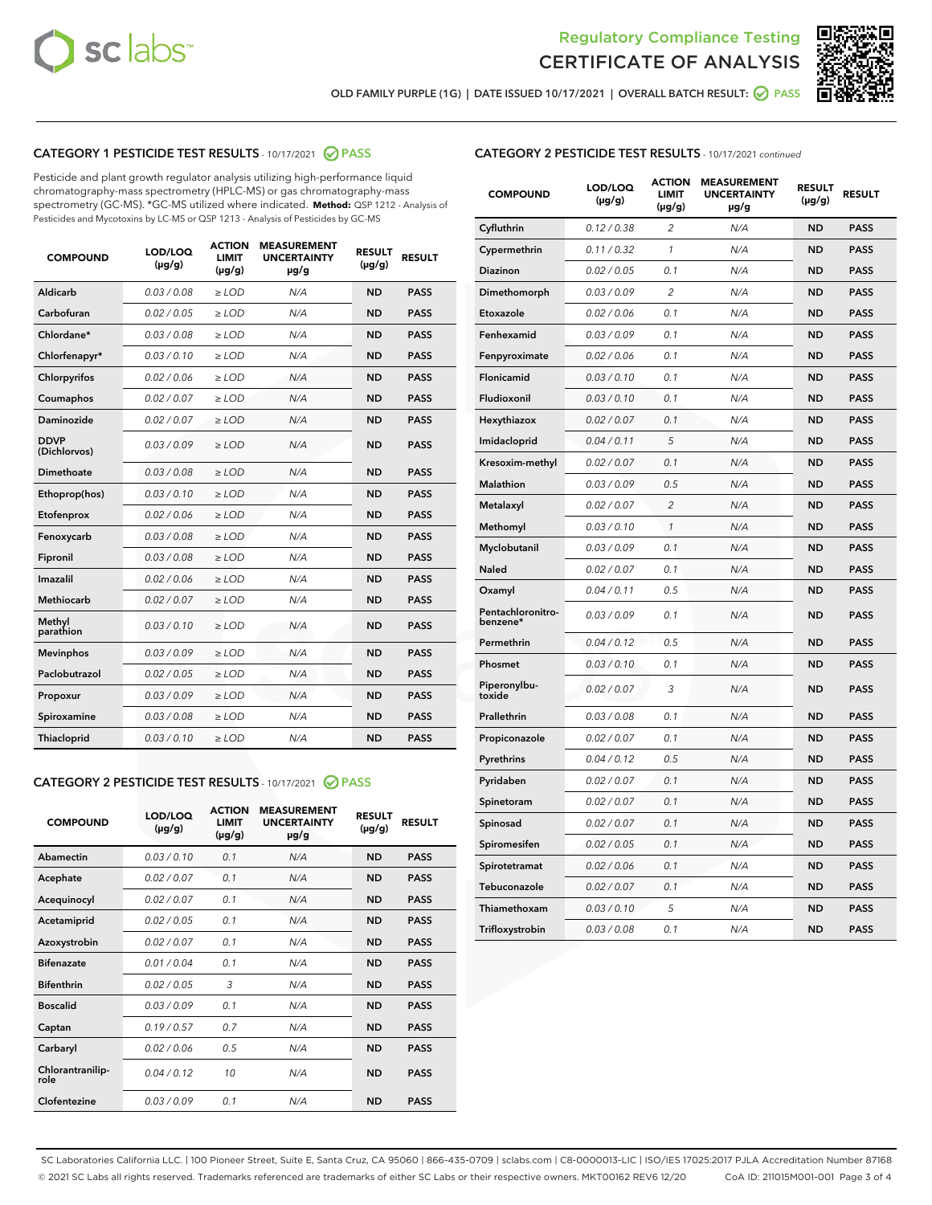



OLD FAMILY PURPLE (1G) | DATE ISSUED 10/17/2021 | OVERALL BATCH RESULT: @ PASS

#### CATEGORY 1 PESTICIDE TEST RESULTS - 10/17/2021 @ PASS

Pesticide and plant growth regulator analysis utilizing high-performance liquid chromatography-mass spectrometry (HPLC-MS) or gas chromatography-mass spectrometry (GC-MS). \*GC-MS utilized where indicated. **Method:** QSP 1212 - Analysis of Pesticides and Mycotoxins by LC-MS or QSP 1213 - Analysis of Pesticides by GC-MS

| <b>Aldicarb</b><br>0.03 / 0.08<br><b>ND</b><br>$\ge$ LOD<br>N/A<br><b>PASS</b><br>Carbofuran<br>0.02/0.05<br>$\ge$ LOD<br>N/A<br><b>ND</b><br><b>PASS</b><br>Chlordane*<br>0.03 / 0.08<br><b>ND</b><br>$>$ LOD<br>N/A<br><b>PASS</b><br>0.03/0.10<br><b>ND</b><br><b>PASS</b><br>Chlorfenapyr*<br>$\ge$ LOD<br>N/A<br>0.02 / 0.06<br>N/A<br><b>ND</b><br><b>PASS</b><br>Chlorpyrifos<br>$\ge$ LOD<br>0.02 / 0.07<br>N/A<br><b>ND</b><br><b>PASS</b><br>Coumaphos<br>$>$ LOD<br>Daminozide<br>0.02 / 0.07<br>$\ge$ LOD<br>N/A<br><b>ND</b><br><b>PASS</b><br><b>DDVP</b><br>0.03/0.09<br>$\ge$ LOD<br>N/A<br><b>ND</b><br><b>PASS</b><br>(Dichlorvos)<br>Dimethoate<br><b>ND</b><br><b>PASS</b><br>0.03/0.08<br>$>$ LOD<br>N/A<br>0.03/0.10<br>Ethoprop(hos)<br>$\ge$ LOD<br>N/A<br><b>ND</b><br><b>PASS</b><br>0.02/0.06<br>$\ge$ LOD<br>N/A<br><b>ND</b><br><b>PASS</b><br>Etofenprox<br>Fenoxycarb<br>0.03/0.08<br>$>$ LOD<br>N/A<br><b>ND</b><br><b>PASS</b><br>0.03/0.08<br><b>ND</b><br><b>PASS</b><br>Fipronil<br>$\ge$ LOD<br>N/A<br>Imazalil<br>0.02 / 0.06<br>$>$ LOD<br>N/A<br><b>ND</b><br><b>PASS</b><br>0.02 / 0.07<br>Methiocarb<br>N/A<br><b>ND</b><br>$>$ LOD<br><b>PASS</b><br>Methyl<br>0.03/0.10<br>$\ge$ LOD<br>N/A<br><b>ND</b><br><b>PASS</b><br>parathion<br>0.03/0.09<br>$\ge$ LOD<br>N/A<br><b>ND</b><br><b>PASS</b><br><b>Mevinphos</b><br>Paclobutrazol<br>0.02 / 0.05<br>$\ge$ LOD<br>N/A<br><b>ND</b><br><b>PASS</b><br>0.03/0.09<br>N/A<br>$\ge$ LOD<br><b>ND</b><br><b>PASS</b><br>Propoxur<br>0.03/0.08<br><b>ND</b><br><b>PASS</b><br>Spiroxamine<br>$\ge$ LOD<br>N/A<br><b>PASS</b><br>Thiacloprid<br>0.03/0.10<br>$\ge$ LOD<br>N/A<br><b>ND</b> | <b>COMPOUND</b> | LOD/LOQ<br>$(\mu g/g)$ | <b>ACTION</b><br>LIMIT<br>$(\mu g/g)$ | <b>MEASUREMENT</b><br><b>UNCERTAINTY</b><br>$\mu$ g/g | <b>RESULT</b><br>$(\mu g/g)$ | <b>RESULT</b> |
|------------------------------------------------------------------------------------------------------------------------------------------------------------------------------------------------------------------------------------------------------------------------------------------------------------------------------------------------------------------------------------------------------------------------------------------------------------------------------------------------------------------------------------------------------------------------------------------------------------------------------------------------------------------------------------------------------------------------------------------------------------------------------------------------------------------------------------------------------------------------------------------------------------------------------------------------------------------------------------------------------------------------------------------------------------------------------------------------------------------------------------------------------------------------------------------------------------------------------------------------------------------------------------------------------------------------------------------------------------------------------------------------------------------------------------------------------------------------------------------------------------------------------------------------------------------------------------------------------------------------------------------------------------------------------------|-----------------|------------------------|---------------------------------------|-------------------------------------------------------|------------------------------|---------------|
|                                                                                                                                                                                                                                                                                                                                                                                                                                                                                                                                                                                                                                                                                                                                                                                                                                                                                                                                                                                                                                                                                                                                                                                                                                                                                                                                                                                                                                                                                                                                                                                                                                                                                    |                 |                        |                                       |                                                       |                              |               |
|                                                                                                                                                                                                                                                                                                                                                                                                                                                                                                                                                                                                                                                                                                                                                                                                                                                                                                                                                                                                                                                                                                                                                                                                                                                                                                                                                                                                                                                                                                                                                                                                                                                                                    |                 |                        |                                       |                                                       |                              |               |
|                                                                                                                                                                                                                                                                                                                                                                                                                                                                                                                                                                                                                                                                                                                                                                                                                                                                                                                                                                                                                                                                                                                                                                                                                                                                                                                                                                                                                                                                                                                                                                                                                                                                                    |                 |                        |                                       |                                                       |                              |               |
|                                                                                                                                                                                                                                                                                                                                                                                                                                                                                                                                                                                                                                                                                                                                                                                                                                                                                                                                                                                                                                                                                                                                                                                                                                                                                                                                                                                                                                                                                                                                                                                                                                                                                    |                 |                        |                                       |                                                       |                              |               |
|                                                                                                                                                                                                                                                                                                                                                                                                                                                                                                                                                                                                                                                                                                                                                                                                                                                                                                                                                                                                                                                                                                                                                                                                                                                                                                                                                                                                                                                                                                                                                                                                                                                                                    |                 |                        |                                       |                                                       |                              |               |
|                                                                                                                                                                                                                                                                                                                                                                                                                                                                                                                                                                                                                                                                                                                                                                                                                                                                                                                                                                                                                                                                                                                                                                                                                                                                                                                                                                                                                                                                                                                                                                                                                                                                                    |                 |                        |                                       |                                                       |                              |               |
|                                                                                                                                                                                                                                                                                                                                                                                                                                                                                                                                                                                                                                                                                                                                                                                                                                                                                                                                                                                                                                                                                                                                                                                                                                                                                                                                                                                                                                                                                                                                                                                                                                                                                    |                 |                        |                                       |                                                       |                              |               |
|                                                                                                                                                                                                                                                                                                                                                                                                                                                                                                                                                                                                                                                                                                                                                                                                                                                                                                                                                                                                                                                                                                                                                                                                                                                                                                                                                                                                                                                                                                                                                                                                                                                                                    |                 |                        |                                       |                                                       |                              |               |
|                                                                                                                                                                                                                                                                                                                                                                                                                                                                                                                                                                                                                                                                                                                                                                                                                                                                                                                                                                                                                                                                                                                                                                                                                                                                                                                                                                                                                                                                                                                                                                                                                                                                                    |                 |                        |                                       |                                                       |                              |               |
|                                                                                                                                                                                                                                                                                                                                                                                                                                                                                                                                                                                                                                                                                                                                                                                                                                                                                                                                                                                                                                                                                                                                                                                                                                                                                                                                                                                                                                                                                                                                                                                                                                                                                    |                 |                        |                                       |                                                       |                              |               |
|                                                                                                                                                                                                                                                                                                                                                                                                                                                                                                                                                                                                                                                                                                                                                                                                                                                                                                                                                                                                                                                                                                                                                                                                                                                                                                                                                                                                                                                                                                                                                                                                                                                                                    |                 |                        |                                       |                                                       |                              |               |
|                                                                                                                                                                                                                                                                                                                                                                                                                                                                                                                                                                                                                                                                                                                                                                                                                                                                                                                                                                                                                                                                                                                                                                                                                                                                                                                                                                                                                                                                                                                                                                                                                                                                                    |                 |                        |                                       |                                                       |                              |               |
|                                                                                                                                                                                                                                                                                                                                                                                                                                                                                                                                                                                                                                                                                                                                                                                                                                                                                                                                                                                                                                                                                                                                                                                                                                                                                                                                                                                                                                                                                                                                                                                                                                                                                    |                 |                        |                                       |                                                       |                              |               |
|                                                                                                                                                                                                                                                                                                                                                                                                                                                                                                                                                                                                                                                                                                                                                                                                                                                                                                                                                                                                                                                                                                                                                                                                                                                                                                                                                                                                                                                                                                                                                                                                                                                                                    |                 |                        |                                       |                                                       |                              |               |
|                                                                                                                                                                                                                                                                                                                                                                                                                                                                                                                                                                                                                                                                                                                                                                                                                                                                                                                                                                                                                                                                                                                                                                                                                                                                                                                                                                                                                                                                                                                                                                                                                                                                                    |                 |                        |                                       |                                                       |                              |               |
|                                                                                                                                                                                                                                                                                                                                                                                                                                                                                                                                                                                                                                                                                                                                                                                                                                                                                                                                                                                                                                                                                                                                                                                                                                                                                                                                                                                                                                                                                                                                                                                                                                                                                    |                 |                        |                                       |                                                       |                              |               |
|                                                                                                                                                                                                                                                                                                                                                                                                                                                                                                                                                                                                                                                                                                                                                                                                                                                                                                                                                                                                                                                                                                                                                                                                                                                                                                                                                                                                                                                                                                                                                                                                                                                                                    |                 |                        |                                       |                                                       |                              |               |
|                                                                                                                                                                                                                                                                                                                                                                                                                                                                                                                                                                                                                                                                                                                                                                                                                                                                                                                                                                                                                                                                                                                                                                                                                                                                                                                                                                                                                                                                                                                                                                                                                                                                                    |                 |                        |                                       |                                                       |                              |               |
|                                                                                                                                                                                                                                                                                                                                                                                                                                                                                                                                                                                                                                                                                                                                                                                                                                                                                                                                                                                                                                                                                                                                                                                                                                                                                                                                                                                                                                                                                                                                                                                                                                                                                    |                 |                        |                                       |                                                       |                              |               |
|                                                                                                                                                                                                                                                                                                                                                                                                                                                                                                                                                                                                                                                                                                                                                                                                                                                                                                                                                                                                                                                                                                                                                                                                                                                                                                                                                                                                                                                                                                                                                                                                                                                                                    |                 |                        |                                       |                                                       |                              |               |
|                                                                                                                                                                                                                                                                                                                                                                                                                                                                                                                                                                                                                                                                                                                                                                                                                                                                                                                                                                                                                                                                                                                                                                                                                                                                                                                                                                                                                                                                                                                                                                                                                                                                                    |                 |                        |                                       |                                                       |                              |               |

#### CATEGORY 2 PESTICIDE TEST RESULTS - 10/17/2021 @ PASS

| <b>COMPOUND</b>          | LOD/LOQ<br>$(\mu g/g)$ | <b>ACTION</b><br><b>LIMIT</b><br>$(\mu g/g)$ | <b>MEASUREMENT</b><br><b>UNCERTAINTY</b><br>$\mu$ g/g | <b>RESULT</b><br>$(\mu g/g)$ | <b>RESULT</b> |
|--------------------------|------------------------|----------------------------------------------|-------------------------------------------------------|------------------------------|---------------|
| Abamectin                | 0.03/0.10              | 0.1                                          | N/A                                                   | <b>ND</b>                    | <b>PASS</b>   |
| Acephate                 | 0.02/0.07              | 0.1                                          | N/A                                                   | <b>ND</b>                    | <b>PASS</b>   |
| Acequinocyl              | 0.02/0.07              | 0.1                                          | N/A                                                   | <b>ND</b>                    | <b>PASS</b>   |
| Acetamiprid              | 0.02/0.05              | 0.1                                          | N/A                                                   | <b>ND</b>                    | <b>PASS</b>   |
| Azoxystrobin             | 0.02/0.07              | 0.1                                          | N/A                                                   | <b>ND</b>                    | <b>PASS</b>   |
| <b>Bifenazate</b>        | 0.01/0.04              | 0.1                                          | N/A                                                   | <b>ND</b>                    | <b>PASS</b>   |
| <b>Bifenthrin</b>        | 0.02 / 0.05            | 3                                            | N/A                                                   | <b>ND</b>                    | <b>PASS</b>   |
| <b>Boscalid</b>          | 0.03/0.09              | 0.1                                          | N/A                                                   | <b>ND</b>                    | <b>PASS</b>   |
| Captan                   | 0.19/0.57              | 0.7                                          | N/A                                                   | <b>ND</b>                    | <b>PASS</b>   |
| Carbaryl                 | 0.02/0.06              | 0.5                                          | N/A                                                   | <b>ND</b>                    | <b>PASS</b>   |
| Chlorantranilip-<br>role | 0.04/0.12              | 10                                           | N/A                                                   | <b>ND</b>                    | <b>PASS</b>   |
| Clofentezine             | 0.03/0.09              | 0.1                                          | N/A                                                   | <b>ND</b>                    | <b>PASS</b>   |

#### CATEGORY 2 PESTICIDE TEST RESULTS - 10/17/2021 continued

| <b>COMPOUND</b>               | LOD/LOQ<br>(µg/g) | <b>ACTION</b><br>LIMIT<br>$(\mu g/g)$ | <b>MEASUREMENT</b><br><b>UNCERTAINTY</b><br>µg/g | <b>RESULT</b><br>(µg/g) | <b>RESULT</b> |
|-------------------------------|-------------------|---------------------------------------|--------------------------------------------------|-------------------------|---------------|
| Cyfluthrin                    | 0.12 / 0.38       | $\overline{c}$                        | N/A                                              | ND                      | <b>PASS</b>   |
| Cypermethrin                  | 0.11 / 0.32       | $\mathcal{I}$                         | N/A                                              | ND                      | PASS          |
| <b>Diazinon</b>               | 0.02 / 0.05       | 0.1                                   | N/A                                              | <b>ND</b>               | <b>PASS</b>   |
| Dimethomorph                  | 0.03 / 0.09       | 2                                     | N/A                                              | ND                      | PASS          |
| Etoxazole                     | 0.02 / 0.06       | 0.1                                   | N/A                                              | ND                      | <b>PASS</b>   |
| Fenhexamid                    | 0.03 / 0.09       | 0.1                                   | N/A                                              | ND                      | <b>PASS</b>   |
| Fenpyroximate                 | 0.02 / 0.06       | 0.1                                   | N/A                                              | <b>ND</b>               | <b>PASS</b>   |
| Flonicamid                    | 0.03 / 0.10       | 0.1                                   | N/A                                              | ND                      | <b>PASS</b>   |
| Fludioxonil                   | 0.03 / 0.10       | 0.1                                   | N/A                                              | ND                      | <b>PASS</b>   |
| Hexythiazox                   | 0.02 / 0.07       | 0.1                                   | N/A                                              | ND                      | <b>PASS</b>   |
| Imidacloprid                  | 0.04 / 0.11       | 5                                     | N/A                                              | ND                      | <b>PASS</b>   |
| Kresoxim-methyl               | 0.02 / 0.07       | 0.1                                   | N/A                                              | ND                      | <b>PASS</b>   |
| Malathion                     | 0.03 / 0.09       | 0.5                                   | N/A                                              | ND                      | <b>PASS</b>   |
| Metalaxyl                     | 0.02 / 0.07       | $\overline{c}$                        | N/A                                              | ND                      | <b>PASS</b>   |
| Methomyl                      | 0.03 / 0.10       | $\mathbf{1}$                          | N/A                                              | ND                      | <b>PASS</b>   |
| Myclobutanil                  | 0.03 / 0.09       | 0.1                                   | N/A                                              | <b>ND</b>               | <b>PASS</b>   |
| Naled                         | 0.02 / 0.07       | 0.1                                   | N/A                                              | ND                      | <b>PASS</b>   |
| Oxamyl                        | 0.04 / 0.11       | 0.5                                   | N/A                                              | ND                      | PASS          |
| Pentachloronitro-<br>benzene* | 0.03 / 0.09       | 0.1                                   | N/A                                              | ND                      | <b>PASS</b>   |
| Permethrin                    | 0.04 / 0.12       | 0.5                                   | N/A                                              | ND                      | <b>PASS</b>   |
| Phosmet                       | 0.03 / 0.10       | 0.1                                   | N/A                                              | ND                      | <b>PASS</b>   |
| Piperonylbu-<br>toxide        | 0.02 / 0.07       | 3                                     | N/A                                              | <b>ND</b>               | <b>PASS</b>   |
| Prallethrin                   | 0.03 / 0.08       | 0.1                                   | N/A                                              | ND                      | <b>PASS</b>   |
| Propiconazole                 | 0.02 / 0.07       | 0.1                                   | N/A                                              | <b>ND</b>               | <b>PASS</b>   |
| Pyrethrins                    | 0.04 / 0.12       | 0.5                                   | N/A                                              | ND                      | PASS          |
| Pyridaben                     | 0.02 / 0.07       | 0.1                                   | N/A                                              | <b>ND</b>               | <b>PASS</b>   |
| Spinetoram                    | 0.02 / 0.07       | 0.1                                   | N/A                                              | ND                      | <b>PASS</b>   |
| Spinosad                      | 0.02 / 0.07       | 0.1                                   | N/A                                              | ND                      | PASS          |
| Spiromesifen                  | 0.02 / 0.05       | 0.1                                   | N/A                                              | <b>ND</b>               | <b>PASS</b>   |
| Spirotetramat                 | 0.02 / 0.06       | 0.1                                   | N/A                                              | ND                      | <b>PASS</b>   |
| Tebuconazole                  | 0.02 / 0.07       | 0.1                                   | N/A                                              | ND                      | <b>PASS</b>   |
| Thiamethoxam                  | 0.03 / 0.10       | 5                                     | N/A                                              | <b>ND</b>               | <b>PASS</b>   |
| Trifloxystrobin               | 0.03 / 0.08       | 0.1                                   | N/A                                              | <b>ND</b>               | <b>PASS</b>   |

SC Laboratories California LLC. | 100 Pioneer Street, Suite E, Santa Cruz, CA 95060 | 866-435-0709 | sclabs.com | C8-0000013-LIC | ISO/IES 17025:2017 PJLA Accreditation Number 87168 © 2021 SC Labs all rights reserved. Trademarks referenced are trademarks of either SC Labs or their respective owners. MKT00162 REV6 12/20 CoA ID: 211015M001-001 Page 3 of 4